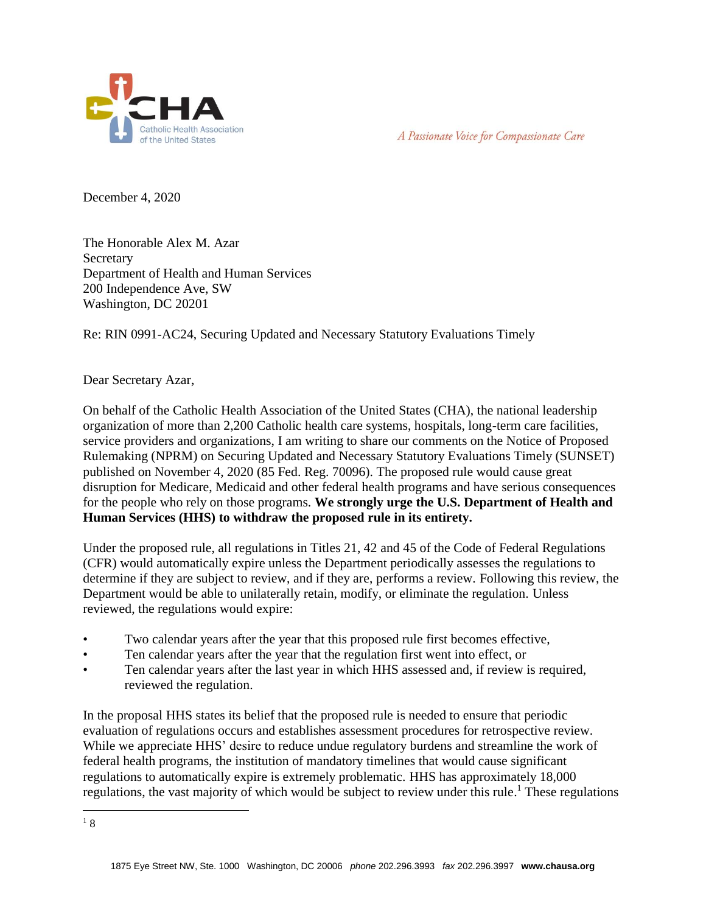



December 4, 2020

The Honorable Alex M. Azar **Secretary** Department of Health and Human Services 200 Independence Ave, SW Washington, DC 20201

Re: RIN 0991-AC24, Securing Updated and Necessary Statutory Evaluations Timely

## Dear Secretary Azar,

On behalf of the Catholic Health Association of the United States (CHA), the national leadership organization of more than 2,200 Catholic health care systems, hospitals, long-term care facilities, service providers and organizations, I am writing to share our comments on the Notice of Proposed Rulemaking (NPRM) on Securing Updated and Necessary Statutory Evaluations Timely (SUNSET) published on November 4, 2020 (85 Fed. Reg. 70096). The proposed rule would cause great disruption for Medicare, Medicaid and other federal health programs and have serious consequences for the people who rely on those programs. **We strongly urge the U.S. Department of Health and Human Services (HHS) to withdraw the proposed rule in its entirety.** 

Under the proposed rule, all regulations in Titles 21, 42 and 45 of the Code of Federal Regulations (CFR) would automatically expire unless the Department periodically assesses the regulations to determine if they are subject to review, and if they are, performs a review. Following this review, the Department would be able to unilaterally retain, modify, or eliminate the regulation. Unless reviewed, the regulations would expire:

- Two calendar years after the year that this proposed rule first becomes effective,
- Ten calendar years after the year that the regulation first went into effect, or
- Ten calendar years after the last year in which HHS assessed and, if review is required, reviewed the regulation.

In the proposal HHS states its belief that the proposed rule is needed to ensure that periodic evaluation of regulations occurs and establishes assessment procedures for retrospective review. While we appreciate HHS' desire to reduce undue regulatory burdens and streamline the work of federal health programs, the institution of mandatory timelines that would cause significant regulations to automatically expire is extremely problematic. HHS has approximately 18,000 regulations, the vast majority of which would be subject to review under this rule.<sup>1</sup> These regulations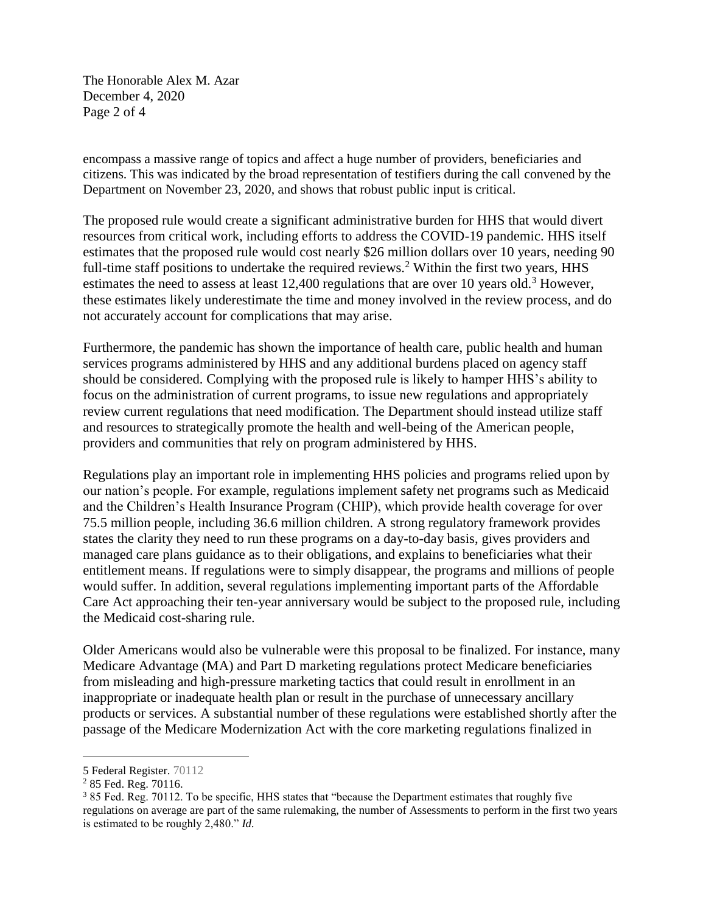The Honorable Alex M. Azar December 4, 2020 Page 2 of 4

encompass a massive range of topics and affect a huge number of providers, beneficiaries and citizens. This was indicated by the broad representation of testifiers during the call convened by the Department on November 23, 2020, and shows that robust public input is critical.

The proposed rule would create a significant administrative burden for HHS that would divert resources from critical work, including efforts to address the COVID-19 pandemic. HHS itself estimates that the proposed rule would cost nearly \$26 million dollars over 10 years, needing 90 full-time staff positions to undertake the required reviews.<sup>2</sup> Within the first two years,  $HHS$ estimates the need to assess at least 12,400 regulations that are over 10 years old.<sup>3</sup> However, these estimates likely underestimate the time and money involved in the review process, and do not accurately account for complications that may arise.

Furthermore, the pandemic has shown the importance of health care, public health and human services programs administered by HHS and any additional burdens placed on agency staff should be considered. Complying with the proposed rule is likely to hamper HHS's ability to focus on the administration of current programs, to issue new regulations and appropriately review current regulations that need modification. The Department should instead utilize staff and resources to strategically promote the health and well-being of the American people, providers and communities that rely on program administered by HHS.

Regulations play an important role in implementing HHS policies and programs relied upon by our nation's people. For example, regulations implement safety net programs such as Medicaid and the Children's Health Insurance Program (CHIP), which provide health coverage for over 75.5 million people, including 36.6 million children. A strong regulatory framework provides states the clarity they need to run these programs on a day-to-day basis, gives providers and managed care plans guidance as to their obligations, and explains to beneficiaries what their entitlement means. If regulations were to simply disappear, the programs and millions of people would suffer. In addition, several regulations implementing important parts of the Affordable Care Act approaching their ten-year anniversary would be subject to the proposed rule, including the Medicaid cost-sharing rule.

Older Americans would also be vulnerable were this proposal to be finalized. For instance, many Medicare Advantage (MA) and Part D marketing regulations protect Medicare beneficiaries from misleading and high-pressure marketing tactics that could result in enrollment in an inappropriate or inadequate health plan or result in the purchase of unnecessary ancillary products or services. A substantial number of these regulations were established shortly after the passage of the Medicare Modernization Act with the core marketing regulations finalized in

 $\overline{a}$ 

<sup>5</sup> Federal Register. 70112

<sup>2</sup> 85 Fed. Reg. 70116.

<sup>&</sup>lt;sup>3</sup> 85 Fed. Reg. 70112. To be specific, HHS states that "because the Department estimates that roughly five regulations on average are part of the same rulemaking, the number of Assessments to perform in the first two years is estimated to be roughly 2,480." *Id.*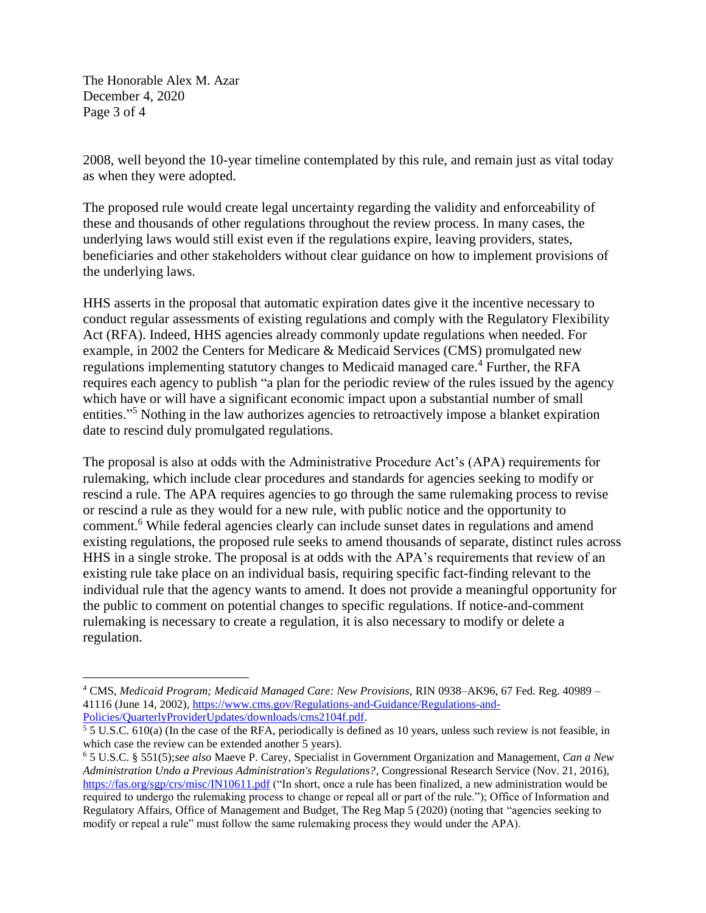The Honorable Alex M. Azar December 4, 2020 Page 3 of 4

 $\overline{a}$ 

2008, well beyond the 10-year timeline contemplated by this rule, and remain just as vital today as when they were adopted.

The proposed rule would create legal uncertainty regarding the validity and enforceability of these and thousands of other regulations throughout the review process. In many cases, the underlying laws would still exist even if the regulations expire, leaving providers, states, beneficiaries and other stakeholders without clear guidance on how to implement provisions of the underlying laws.

HHS asserts in the proposal that automatic expiration dates give it the incentive necessary to conduct regular assessments of existing regulations and comply with the Regulatory Flexibility Act (RFA). Indeed, HHS agencies already commonly update regulations when needed. For example, in 2002 the Centers for Medicare & Medicaid Services (CMS) promulgated new regulations implementing statutory changes to Medicaid managed care.<sup>4</sup> Further, the RFA requires each agency to publish "a plan for the periodic review of the rules issued by the agency which have or will have a significant economic impact upon a substantial number of small entities."<sup>5</sup> Nothing in the law authorizes agencies to retroactively impose a blanket expiration date to rescind duly promulgated regulations.

The proposal is also at odds with the Administrative Procedure Act's (APA) requirements for rulemaking, which include clear procedures and standards for agencies seeking to modify or rescind a rule. The APA requires agencies to go through the same rulemaking process to revise or rescind a rule as they would for a new rule, with public notice and the opportunity to comment.<sup>6</sup> While federal agencies clearly can include sunset dates in regulations and amend existing regulations, the proposed rule seeks to amend thousands of separate, distinct rules across HHS in a single stroke. The proposal is at odds with the APA's requirements that review of an existing rule take place on an individual basis, requiring specific fact-finding relevant to the individual rule that the agency wants to amend. It does not provide a meaningful opportunity for the public to comment on potential changes to specific regulations. If notice-and-comment rulemaking is necessary to create a regulation, it is also necessary to modify or delete a regulation.

<sup>4</sup> CMS, *Medicaid Program; Medicaid Managed Care: New Provisions,* RIN 0938–AK96, 67 Fed. Reg. 40989 – 41116 (June 14, 2002), [https://www.cms.gov/Regulations-and-Guidance/Regulations-and-](https://www.cms.gov/Regulations-and-Guidance/Regulations-and-Policies/QuarterlyProviderUpdates/downloads/cms2104f.pdf)[Policies/QuarterlyProviderUpdates/downloads/cms2104f.pdf.](https://www.cms.gov/Regulations-and-Guidance/Regulations-and-Policies/QuarterlyProviderUpdates/downloads/cms2104f.pdf)

<sup>5</sup> 5 U.S.C. 610(a) (In the case of the RFA, periodically is defined as 10 years, unless such review is not feasible, in which case the review can be extended another 5 years).

<sup>6</sup> 5 U.S.C. § 551(5);*see also* Maeve P. Carey, Specialist in Government Organization and Management, *Can a New Administration Undo a Previous Administration's Regulations?*, Congressional Research Service (Nov. 21, 2016), <https://fas.org/sgp/crs/misc/IN10611.pdf> ("In short, once a rule has been finalized, a new administration would be required to undergo the rulemaking process to change or repeal all or part of the rule."); Office of Information and Regulatory Affairs, Office of Management and Budget, The Reg Map 5 (2020) (noting that "agencies seeking to modify or repeal a rule" must follow the same rulemaking process they would under the APA).